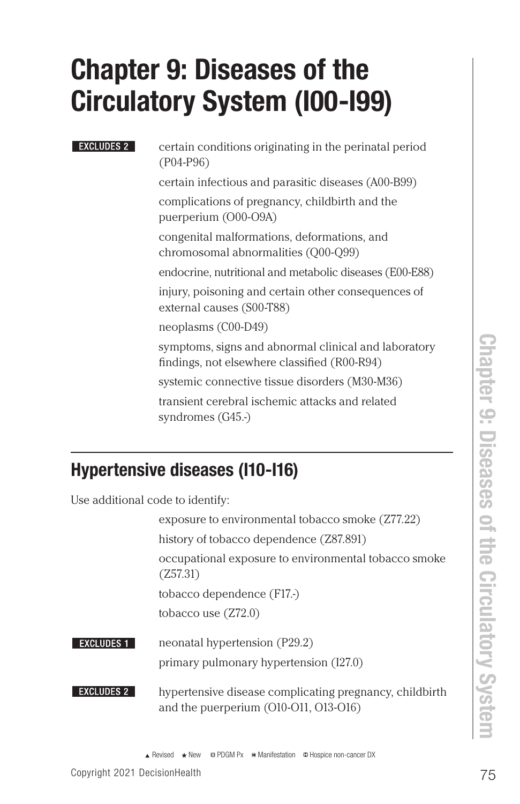# Chapter 9: Diseases of the Circulatory System (I00-I99)

#### **EXCLUDES 2**

certain conditions originating in the perinatal period (P04-P96)

certain infectious and parasitic diseases (A00-B99)

complications of pregnancy, childbirth and the puerperium (O00-O9A)

congenital malformations, deformations, and chromosomal abnormalities (Q00-Q99)

endocrine, nutritional and metabolic diseases (E00-E88)

injury, poisoning and certain other consequences of external causes (S00-T88)

neoplasms (C00-D49)

symptoms, signs and abnormal clinical and laboratory findings, not elsewhere classified (R00-R94)

systemic connective tissue disorders (M30-M36)

transient cerebral ischemic attacks and related syndromes (G45.-)

## Hypertensive diseases (I10-I16)

Use additional code to identify:

exposure to environmental tobacco smoke (Z77.22) history of tobacco dependence (Z87.891) occupational exposure to environmental tobacco smoke (Z57.31) tobacco dependence (F17.-) tobacco use (Z72.0)

#### **EXCLUDES 1** neonatal hypertension (P29.2) primary pulmonary hypertension (I27.0)

**EXCLUDES 2** hypertensive disease complicating pregnancy, childbirth and the puerperium (O10-O11, O13-O16)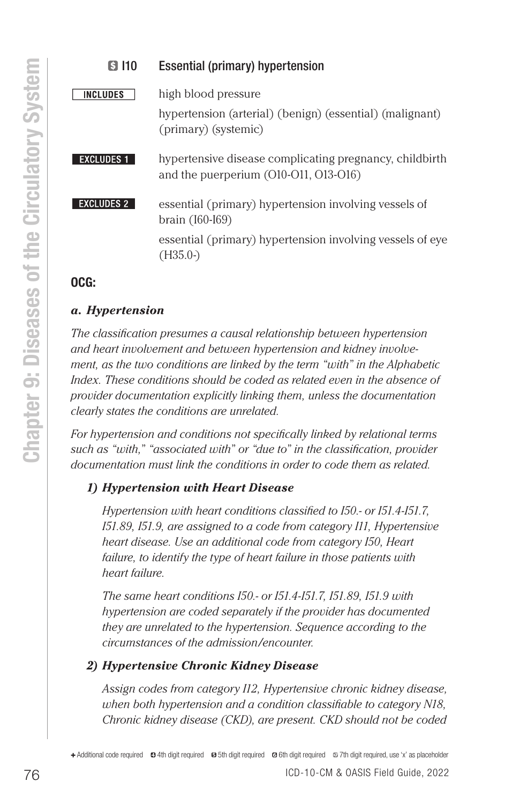| Essential (primary) hypertension                                                                        |
|---------------------------------------------------------------------------------------------------------|
| high blood pressure<br>hypertension (arterial) (benign) (essential) (malignant)<br>(primary) (systemic) |
| hypertensive disease complicating pregnancy, childbirth<br>and the puerperium $(010-011, 013-016)$      |
| essential (primary) hypertension involving vessels of<br>brain (160-169)                                |
| essential (primary) hypertension involving vessels of eye<br>$(H35.0-)$                                 |
|                                                                                                         |

#### OCG:

#### *a. Hypertension*

*The classification presumes a causal relationship between hypertension and heart involvement and between hypertension and kidney involvement, as the two conditions are linked by the term "with" in the Alphabetic Index. These conditions should be coded as related even in the absence of provider documentation explicitly linking them, unless the documentation clearly states the conditions are unrelated.* 

*For hypertension and conditions not specifically linked by relational terms such as "with," "associated with" or "due to" in the classification, provider documentation must link the conditions in order to code them as related.*

### *1) Hypertension with Heart Disease*

*Hypertension with heart conditions classified to I50.- or I51.4-I51.7, I51.89, I51.9, are assigned to a code from category I11, Hypertensive heart disease. Use an additional code from category I50, Heart failure, to identify the type of heart failure in those patients with heart failure.* 

*The same heart conditions I50.- or I51.4-I51.7, I51.89, I51.9 with hypertension are coded separately if the provider has documented they are unrelated to the hypertension. Sequence according to the circumstances of the admission/encounter.*

### *2) Hypertensive Chronic Kidney Disease*

*Assign codes from category I12, Hypertensive chronic kidney disease, when both hypertension and a condition classifiable to category N18, Chronic kidney disease (CKD), are present. CKD should not be coded*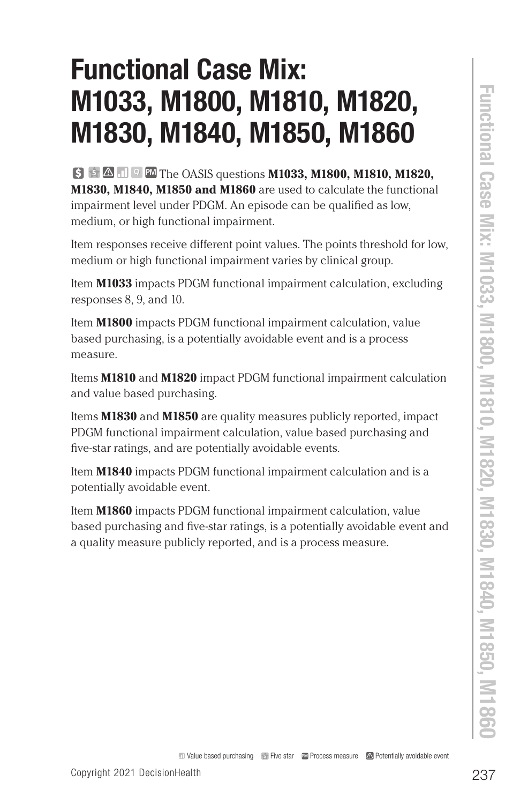# Functional Case Mix: M1033, M1800, M1810, M1820, M1830, M1840, M1850, M1860

**M1033, M18000, M1810, M1820,**<br> **COPYRIGHT 2021 DECISION CONSUMERS (UNITED ATTS AND STANDATE)**<br> **COPYRIGHT 2021 DECISION CASE SUBSION MISSO AND MISSO AND MISSO AND MISSO AND MISSO AND MISSO AND MISSO AND MISSO AND MISSO A <sup>5</sup> <sup>Q</sup> PM** The OASIS questions **M1033, M1800, M1810, M1820, M1830, M1840, M1850 and M1860** are used to calculate the functional impairment level under PDGM. An episode can be qualified as low, medium, or high functional impairment.

Item responses receive different point values. The points threshold for low, medium or high functional impairment varies by clinical group.

Item **M1033** impacts PDGM functional impairment calculation, excluding responses 8, 9, and 10.

Item **M1800** impacts PDGM functional impairment calculation, value based purchasing, is a potentially avoidable event and is a process measure.

Items **M1810** and **M1820** impact PDGM functional impairment calculation and value based purchasing.

Items **M1830** and **M1850** are quality measures publicly reported, impact PDGM functional impairment calculation, value based purchasing and five-star ratings, and are potentially avoidable events.

Item **M1840** impacts PDGM functional impairment calculation and is a potentially avoidable event.

Item **M1860** impacts PDGM functional impairment calculation, value based purchasing and five-star ratings, is a potentially avoidable event and a quality measure publicly reported, and is a process measure.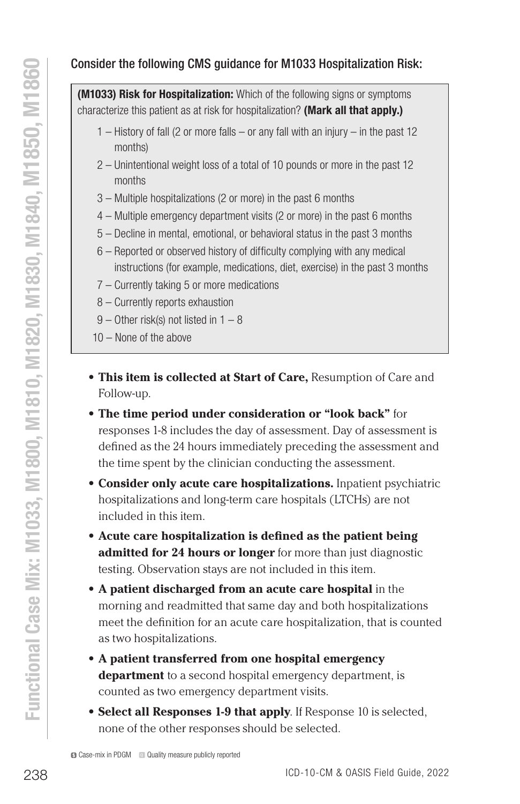### Consider the following CMS guidance for M1033 Hospitalization Risk:

**(M1033) Risk for Hospitalization:** Which of the following signs or symptoms characterize this patient as at risk for hospitalization? (Mark all that apply.)

- 1 History of fall (2 or more falls or any fall with an injury in the past 12 months)
- 2 Unintentional weight loss of a total of 10 pounds or more in the past 12 months
- 3 Multiple hospitalizations (2 or more) in the past 6 months
- 4 Multiple emergency department visits (2 or more) in the past 6 months
- 5 Decline in mental, emotional, or behavioral status in the past 3 months
- 6 Reported or observed history of difficulty complying with any medical instructions (for example, medications, diet, exercise) in the past 3 months
- 7 Currently taking 5 or more medications
- 8 Currently reports exhaustion
- 9 Other risk(s) not listed in 1 8
- 10 None of the above
- **• This item is collected at Start of Care,** Resumption of Care and Follow-up.
- **• The time period under consideration or "look back"** for responses 1-8 includes the day of assessment. Day of assessment is defined as the 24 hours immediately preceding the assessment and the time spent by the clinician conducting the assessment.
- **• Consider only acute care hospitalizations.** Inpatient psychiatric hospitalizations and long-term care hospitals (LTCHs) are not included in this item.
- **• Acute care hospitalization is defined as the patient being admitted for 24 hours or longer** for more than just diagnostic testing. Observation stays are not included in this item.
- Consider the following GMS guidance for M1033 Hospitalization Risk:<br>
(MM033) Risk for Meophisization What diffelosion (Mark all that apply)<br>  $1 -$ History of fall (2 or more falls or any fall with an injury in the past **• A patient discharged from an acute care hospital** in the morning and readmitted that same day and both hospitalizations meet the definition for an acute care hospitalization, that is counted as two hospitalizations.
	- **• A patient transferred from one hospital emergency department** to a second hospital emergency department, is counted as two emergency department visits.
	- **• Select all Responses 1-9 that apply**. If Response 10 is selected, none of the other responses should be selected.

Case-mix in PDGM **<sup>Q</sup>** Quality measure publicly reported